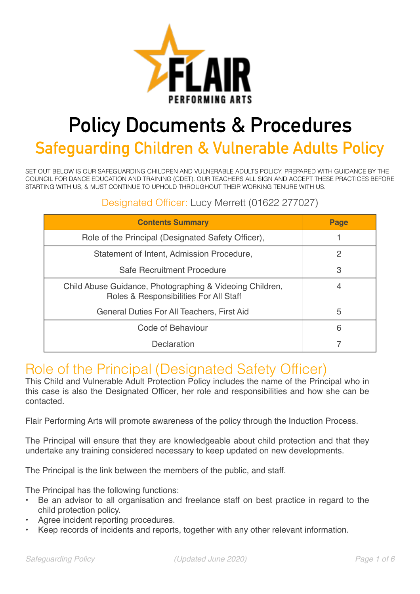

# **Policy Documents & Procedures**

**Safeguarding Children & Vulnerable Adults Policy** 

SET OUT BELOW IS OUR SAFEGUARDING CHILDREN AND VULNERABLE ADULTS POLICY, PREPARED WITH GUIDANCE BY THE COUNCIL FOR DANCE EDUCATION AND TRAINING (CDET). OUR TEACHERS ALL SIGN AND ACCEPT THESE PRACTICES BEFORE STARTING WITH US, & MUST CONTINUE TO UPHOLD THROUGHOUT THEIR WORKING TENURE WITH US.

#### Designated Officer: Lucy Merrett (01622 277027)

| <b>Contents Summary</b>                                                                            | Page |
|----------------------------------------------------------------------------------------------------|------|
| Role of the Principal (Designated Safety Officer),                                                 |      |
| Statement of Intent, Admission Procedure,                                                          | 2    |
| Safe Recruitment Procedure                                                                         | 3    |
| Child Abuse Guidance, Photographing & Videoing Children,<br>Roles & Responsibilities For All Staff |      |
| General Duties For All Teachers, First Aid                                                         | 5    |
| Code of Behaviour                                                                                  | 6    |
| Declaration                                                                                        |      |

### Role of the Principal (Designated Safety Officer)

This Child and Vulnerable Adult Protection Policy includes the name of the Principal who in this case is also the Designated Officer, her role and responsibilities and how she can be contacted.

Flair Performing Arts will promote awareness of the policy through the Induction Process.

The Principal will ensure that they are knowledgeable about child protection and that they undertake any training considered necessary to keep updated on new developments.

The Principal is the link between the members of the public, and staff.

The Principal has the following functions:

- Be an advisor to all organisation and freelance staff on best practice in regard to the child protection policy.
- Agree incident reporting procedures.
- Keep records of incidents and reports, together with any other relevant information.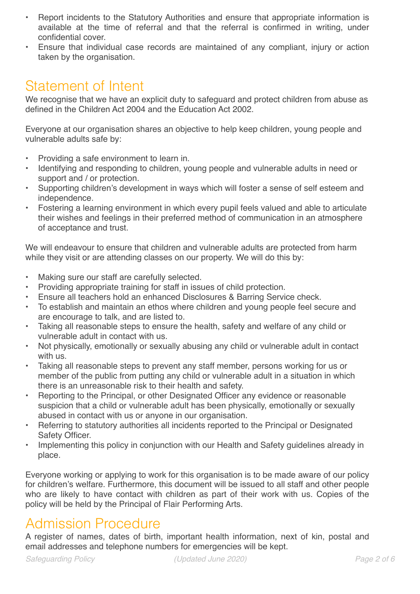- Report incidents to the Statutory Authorities and ensure that appropriate information is available at the time of referral and that the referral is confirmed in writing, under confidential cover.
- Ensure that individual case records are maintained of any compliant, injury or action taken by the organisation.

### Statement of Intent

We recognise that we have an explicit duty to safeguard and protect children from abuse as defined in the Children Act 2004 and the Education Act 2002.

Everyone at our organisation shares an objective to help keep children, young people and vulnerable adults safe by:

- Providing a safe environment to learn in.
- Identifying and responding to children, young people and vulnerable adults in need or support and / or protection.
- Supporting children's development in ways which will foster a sense of self esteem and independence.
- Fostering a learning environment in which every pupil feels valued and able to articulate their wishes and feelings in their preferred method of communication in an atmosphere of acceptance and trust.

We will endeavour to ensure that children and vulnerable adults are protected from harm while they visit or are attending classes on our property. We will do this by:

- Making sure our staff are carefully selected.
- Providing appropriate training for staff in issues of child protection.
- Ensure all teachers hold an enhanced Disclosures & Barring Service check.
- To establish and maintain an ethos where children and young people feel secure and are encourage to talk, and are listed to.
- Taking all reasonable steps to ensure the health, safety and welfare of any child or vulnerable adult in contact with us.
- Not physically, emotionally or sexually abusing any child or vulnerable adult in contact with us.
- Taking all reasonable steps to prevent any staff member, persons working for us or member of the public from putting any child or vulnerable adult in a situation in which there is an unreasonable risk to their health and safety.
- Reporting to the Principal, or other Designated Officer any evidence or reasonable suspicion that a child or vulnerable adult has been physically, emotionally or sexually abused in contact with us or anyone in our organisation.
- Referring to statutory authorities all incidents reported to the Principal or Designated Safety Officer.
- Implementing this policy in conjunction with our Health and Safety guidelines already in place.

Everyone working or applying to work for this organisation is to be made aware of our policy for children's welfare. Furthermore, this document will be issued to all staff and other people who are likely to have contact with children as part of their work with us. Copies of the policy will be held by the Principal of Flair Performing Arts.

### Admission Procedure

A register of names, dates of birth, important health information, next of kin, postal and email addresses and telephone numbers for emergencies will be kept.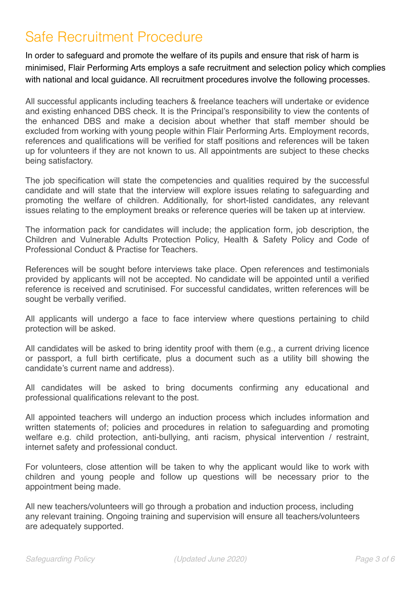# Safe Recruitment Procedure

In order to safeguard and promote the welfare of its pupils and ensure that risk of harm is minimised, Flair Performing Arts employs a safe recruitment and selection policy which complies with national and local guidance. All recruitment procedures involve the following processes.

All successful applicants including teachers & freelance teachers will undertake or evidence and existing enhanced DBS check. It is the Principal's responsibility to view the contents of the enhanced DBS and make a decision about whether that staff member should be excluded from working with young people within Flair Performing Arts. Employment records, references and qualifications will be verified for staff positions and references will be taken up for volunteers if they are not known to us. All appointments are subject to these checks being satisfactory.

The job specification will state the competencies and qualities required by the successful candidate and will state that the interview will explore issues relating to safeguarding and promoting the welfare of children. Additionally, for short-listed candidates, any relevant issues relating to the employment breaks or reference queries will be taken up at interview.

The information pack for candidates will include; the application form, job description, the Children and Vulnerable Adults Protection Policy, Health & Safety Policy and Code of Professional Conduct & Practise for Teachers.

References will be sought before interviews take place. Open references and testimonials provided by applicants will not be accepted. No candidate will be appointed until a verified reference is received and scrutinised. For successful candidates, written references will be sought be verbally verified.

All applicants will undergo a face to face interview where questions pertaining to child protection will be asked.

All candidates will be asked to bring identity proof with them (e.g., a current driving licence or passport, a full birth certificate, plus a document such as a utility bill showing the candidate's current name and address).

All candidates will be asked to bring documents confirming any educational and professional qualifications relevant to the post.

All appointed teachers will undergo an induction process which includes information and written statements of; policies and procedures in relation to safeguarding and promoting welfare e.g. child protection, anti-bullying, anti racism, physical intervention / restraint, internet safety and professional conduct.

For volunteers, close attention will be taken to why the applicant would like to work with children and young people and follow up questions will be necessary prior to the appointment being made.

All new teachers/volunteers will go through a probation and induction process, including any relevant training. Ongoing training and supervision will ensure all teachers/volunteers are adequately supported.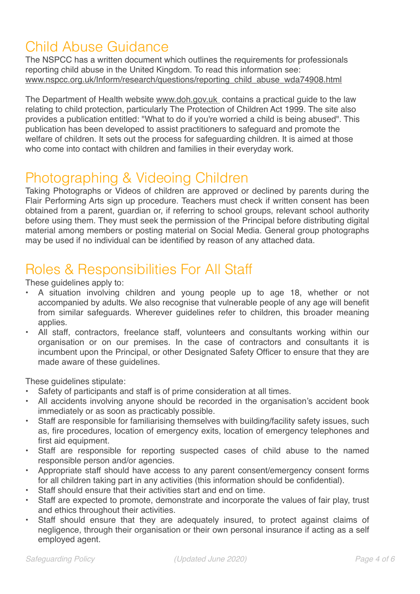# Child Abuse Guidance

The NSPCC has a written document which outlines the requirements for professionals reporting child abuse in the United Kingdom. To read this information see: [www.nspcc.org.uk/Inform/research/questions/reporting\\_child\\_abuse\\_wda74908.html](http://www.nspcc.org.uk/Inform/research/questions/reporting_child_abuse_wda74908.html)

The Department of Health website [www.doh.gov.uk](http://www.doh.gov.uk) contains a practical guide to the law relating to child protection, particularly The Protection of Children Act 1999. The site also provides a publication entitled: "What to do if you're worried a child is being abused". This publication has been developed to assist practitioners to safeguard and promote the welfare of children. It sets out the process for safeguarding children. It is aimed at those who come into contact with children and families in their everyday work.

# Photographing & Videoing Children

Taking Photographs or Videos of children are approved or declined by parents during the Flair Performing Arts sign up procedure. Teachers must check if written consent has been obtained from a parent, guardian or, if referring to school groups, relevant school authority before using them. They must seek the permission of the Principal before distributing digital material among members or posting material on Social Media. General group photographs may be used if no individual can be identified by reason of any attached data.

### Roles & Responsibilities For All Staff

These guidelines apply to:

- A situation involving children and young people up to age 18, whether or not accompanied by adults. We also recognise that vulnerable people of any age will benefit from similar safeguards. Wherever guidelines refer to children, this broader meaning applies.
- All staff, contractors, freelance staff, volunteers and consultants working within our organisation or on our premises. In the case of contractors and consultants it is incumbent upon the Principal, or other Designated Safety Officer to ensure that they are made aware of these guidelines.

These guidelines stipulate:

- Safety of participants and staff is of prime consideration at all times.
- All accidents involving anyone should be recorded in the organisation's accident book immediately or as soon as practicably possible.
- Staff are responsible for familiarising themselves with building/facility safety issues, such as, fire procedures, location of emergency exits, location of emergency telephones and first aid equipment.
- Staff are responsible for reporting suspected cases of child abuse to the named responsible person and/or agencies.
- Appropriate staff should have access to any parent consent/emergency consent forms for all children taking part in any activities (this information should be confidential).
- Staff should ensure that their activities start and end on time.
- Staff are expected to promote, demonstrate and incorporate the values of fair play, trust and ethics throughout their activities.
- Staff should ensure that they are adequately insured, to protect against claims of negligence, through their organisation or their own personal insurance if acting as a self employed agent.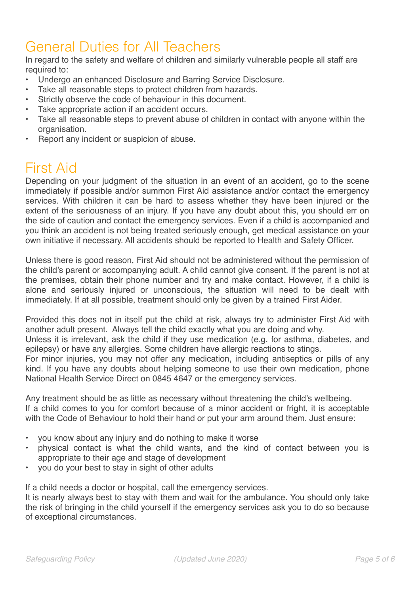# General Duties for All Teachers

In regard to the safety and welfare of children and similarly vulnerable people all staff are required to:

- Undergo an enhanced Disclosure and Barring Service Disclosure.
- Take all reasonable steps to protect children from hazards.
- Strictly observe the code of behaviour in this document.
- Take appropriate action if an accident occurs.
- Take all reasonable steps to prevent abuse of children in contact with anyone within the organisation.
- Report any incident or suspicion of abuse.

### First Aid

Depending on your judgment of the situation in an event of an accident, go to the scene immediately if possible and/or summon First Aid assistance and/or contact the emergency services. With children it can be hard to assess whether they have been injured or the extent of the seriousness of an injury. If you have any doubt about this, you should err on the side of caution and contact the emergency services. Even if a child is accompanied and you think an accident is not being treated seriously enough, get medical assistance on your own initiative if necessary. All accidents should be reported to Health and Safety Officer.

Unless there is good reason, First Aid should not be administered without the permission of the child's parent or accompanying adult. A child cannot give consent. If the parent is not at the premises, obtain their phone number and try and make contact. However, if a child is alone and seriously injured or unconscious, the situation will need to be dealt with immediately. If at all possible, treatment should only be given by a trained First Aider.

Provided this does not in itself put the child at risk, always try to administer First Aid with another adult present. Always tell the child exactly what you are doing and why.

Unless it is irrelevant, ask the child if they use medication (e.g. for asthma, diabetes, and epilepsy) or have any allergies. Some children have allergic reactions to stings.

For minor injuries, you may not offer any medication, including antiseptics or pills of any kind. If you have any doubts about helping someone to use their own medication, phone National Health Service Direct on 0845 4647 or the emergency services.

Any treatment should be as little as necessary without threatening the child's wellbeing. If a child comes to you for comfort because of a minor accident or fright, it is acceptable with the Code of Behaviour to hold their hand or put your arm around them. Just ensure:

- you know about any injury and do nothing to make it worse
- physical contact is what the child wants, and the kind of contact between you is appropriate to their age and stage of development
- you do your best to stay in sight of other adults

If a child needs a doctor or hospital, call the emergency services.

It is nearly always best to stay with them and wait for the ambulance. You should only take the risk of bringing in the child yourself if the emergency services ask you to do so because of exceptional circumstances.